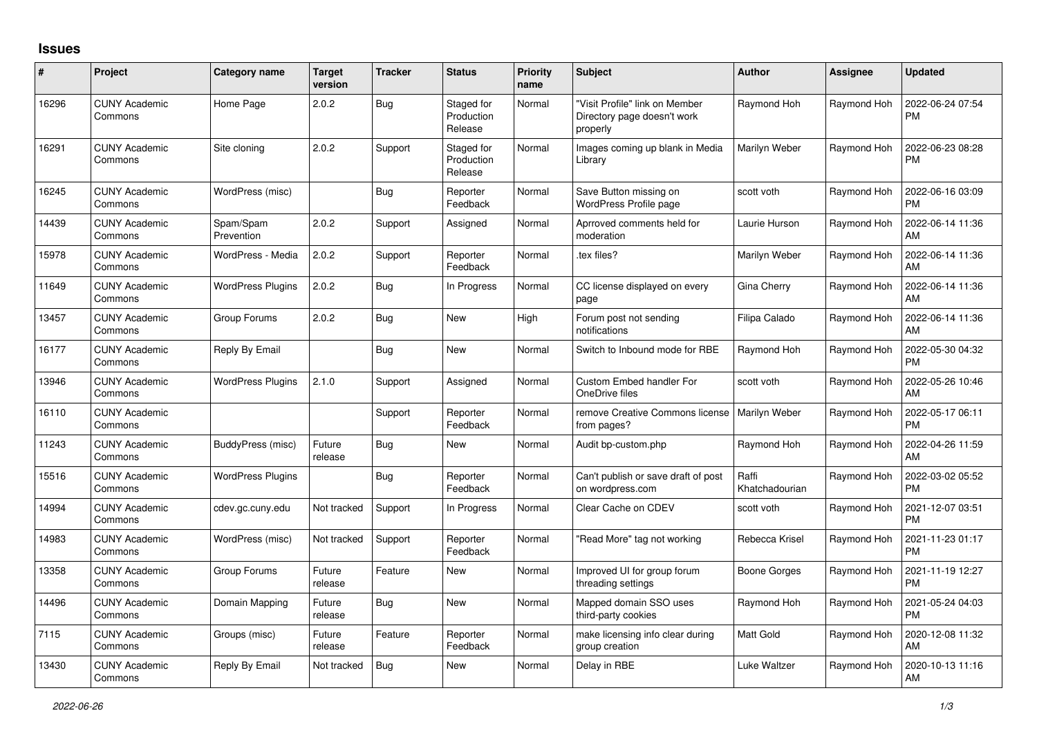## **Issues**

| #     | Project                         | Category name            | <b>Target</b><br>version | <b>Tracker</b> | <b>Status</b>                       | Priority<br>name | <b>Subject</b>                                                            | Author                  | <b>Assignee</b> | <b>Updated</b>                |
|-------|---------------------------------|--------------------------|--------------------------|----------------|-------------------------------------|------------------|---------------------------------------------------------------------------|-------------------------|-----------------|-------------------------------|
| 16296 | <b>CUNY Academic</b><br>Commons | Home Page                | 2.0.2                    | Bug            | Staged for<br>Production<br>Release | Normal           | "Visit Profile" link on Member<br>Directory page doesn't work<br>properly | Raymond Hoh             | Raymond Hoh     | 2022-06-24 07:54<br><b>PM</b> |
| 16291 | <b>CUNY Academic</b><br>Commons | Site cloning             | 2.0.2                    | Support        | Staged for<br>Production<br>Release | Normal           | Images coming up blank in Media<br>Library                                | Marilyn Weber           | Raymond Hoh     | 2022-06-23 08:28<br><b>PM</b> |
| 16245 | <b>CUNY Academic</b><br>Commons | WordPress (misc)         |                          | Bug            | Reporter<br>Feedback                | Normal           | Save Button missing on<br>WordPress Profile page                          | scott voth              | Raymond Hoh     | 2022-06-16 03:09<br><b>PM</b> |
| 14439 | <b>CUNY Academic</b><br>Commons | Spam/Spam<br>Prevention  | 2.0.2                    | Support        | Assigned                            | Normal           | Aprroved comments held for<br>moderation                                  | Laurie Hurson           | Raymond Hoh     | 2022-06-14 11:36<br>AM        |
| 15978 | <b>CUNY Academic</b><br>Commons | WordPress - Media        | 2.0.2                    | Support        | Reporter<br>Feedback                | Normal           | tex files?                                                                | Marilyn Weber           | Raymond Hoh     | 2022-06-14 11:36<br>AM        |
| 11649 | <b>CUNY Academic</b><br>Commons | <b>WordPress Plugins</b> | 2.0.2                    | Bug            | In Progress                         | Normal           | CC license displayed on every<br>page                                     | Gina Cherry             | Raymond Hoh     | 2022-06-14 11:36<br>AM        |
| 13457 | <b>CUNY Academic</b><br>Commons | Group Forums             | 2.0.2                    | Bug            | <b>New</b>                          | High             | Forum post not sending<br>notifications                                   | Filipa Calado           | Raymond Hoh     | 2022-06-14 11:36<br>AM        |
| 16177 | <b>CUNY Academic</b><br>Commons | Reply By Email           |                          | <b>Bug</b>     | <b>New</b>                          | Normal           | Switch to Inbound mode for RBE                                            | Raymond Hoh             | Raymond Hoh     | 2022-05-30 04:32<br><b>PM</b> |
| 13946 | <b>CUNY Academic</b><br>Commons | <b>WordPress Plugins</b> | 2.1.0                    | Support        | Assigned                            | Normal           | <b>Custom Embed handler For</b><br>OneDrive files                         | scott voth              | Raymond Hoh     | 2022-05-26 10:46<br>AM        |
| 16110 | <b>CUNY Academic</b><br>Commons |                          |                          | Support        | Reporter<br>Feedback                | Normal           | remove Creative Commons license<br>from pages?                            | Marilyn Weber           | Raymond Hoh     | 2022-05-17 06:11<br><b>PM</b> |
| 11243 | <b>CUNY Academic</b><br>Commons | BuddyPress (misc)        | Future<br>release        | <b>Bug</b>     | <b>New</b>                          | Normal           | Audit bp-custom.php                                                       | Raymond Hoh             | Raymond Hoh     | 2022-04-26 11:59<br>AM        |
| 15516 | <b>CUNY Academic</b><br>Commons | <b>WordPress Plugins</b> |                          | Bug            | Reporter<br>Feedback                | Normal           | Can't publish or save draft of post<br>on wordpress.com                   | Raffi<br>Khatchadourian | Raymond Hoh     | 2022-03-02 05:52<br><b>PM</b> |
| 14994 | <b>CUNY Academic</b><br>Commons | cdev.gc.cuny.edu         | Not tracked              | Support        | In Progress                         | Normal           | Clear Cache on CDEV                                                       | scott voth              | Raymond Hoh     | 2021-12-07 03:51<br><b>PM</b> |
| 14983 | <b>CUNY Academic</b><br>Commons | WordPress (misc)         | Not tracked              | Support        | Reporter<br>Feedback                | Normal           | "Read More" tag not working                                               | Rebecca Krisel          | Raymond Hoh     | 2021-11-23 01:17<br><b>PM</b> |
| 13358 | <b>CUNY Academic</b><br>Commons | Group Forums             | Future<br>release        | Feature        | <b>New</b>                          | Normal           | Improved UI for group forum<br>threading settings                         | <b>Boone Gorges</b>     | Raymond Hoh     | 2021-11-19 12:27<br><b>PM</b> |
| 14496 | <b>CUNY Academic</b><br>Commons | Domain Mapping           | Future<br>release        | <b>Bug</b>     | <b>New</b>                          | Normal           | Mapped domain SSO uses<br>third-party cookies                             | Raymond Hoh             | Raymond Hoh     | 2021-05-24 04:03<br><b>PM</b> |
| 7115  | <b>CUNY Academic</b><br>Commons | Groups (misc)            | Future<br>release        | Feature        | Reporter<br>Feedback                | Normal           | make licensing info clear during<br>group creation                        | Matt Gold               | Raymond Hoh     | 2020-12-08 11:32<br>AM        |
| 13430 | <b>CUNY Academic</b><br>Commons | Reply By Email           | Not tracked              | <b>Bug</b>     | New                                 | Normal           | Delay in RBE                                                              | Luke Waltzer            | Raymond Hoh     | 2020-10-13 11:16<br>AM        |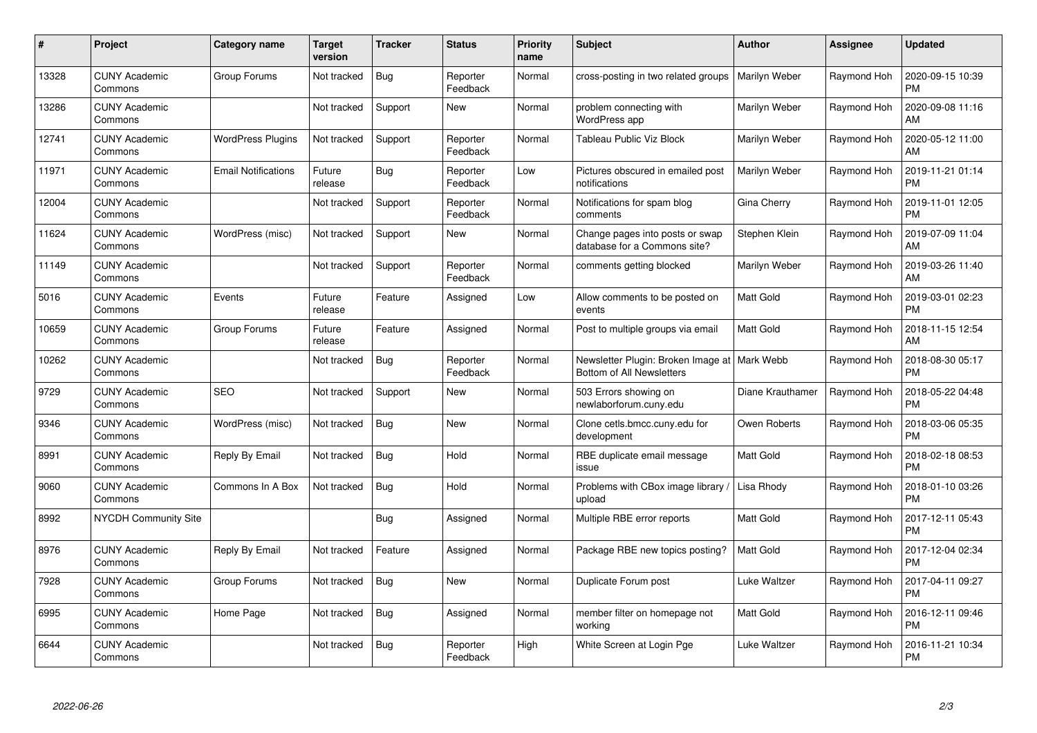| $\pmb{\#}$ | Project                         | Category name              | Target<br>version | <b>Tracker</b> | <b>Status</b>        | <b>Priority</b><br>name | <b>Subject</b>                                                              | <b>Author</b>    | Assignee    | <b>Updated</b>                |
|------------|---------------------------------|----------------------------|-------------------|----------------|----------------------|-------------------------|-----------------------------------------------------------------------------|------------------|-------------|-------------------------------|
| 13328      | <b>CUNY Academic</b><br>Commons | Group Forums               | Not tracked       | <b>Bug</b>     | Reporter<br>Feedback | Normal                  | cross-posting in two related groups                                         | Marilyn Weber    | Raymond Hoh | 2020-09-15 10:39<br>PM        |
| 13286      | <b>CUNY Academic</b><br>Commons |                            | Not tracked       | Support        | New                  | Normal                  | problem connecting with<br>WordPress app                                    | Marilyn Weber    | Raymond Hoh | 2020-09-08 11:16<br>AM        |
| 12741      | <b>CUNY Academic</b><br>Commons | <b>WordPress Plugins</b>   | Not tracked       | Support        | Reporter<br>Feedback | Normal                  | Tableau Public Viz Block                                                    | Marilyn Weber    | Raymond Hoh | 2020-05-12 11:00<br>AM        |
| 11971      | <b>CUNY Academic</b><br>Commons | <b>Email Notifications</b> | Future<br>release | <b>Bug</b>     | Reporter<br>Feedback | Low                     | Pictures obscured in emailed post<br>notifications                          | Marilyn Weber    | Raymond Hoh | 2019-11-21 01:14<br>PM        |
| 12004      | <b>CUNY Academic</b><br>Commons |                            | Not tracked       | Support        | Reporter<br>Feedback | Normal                  | Notifications for spam blog<br>comments                                     | Gina Cherry      | Raymond Hoh | 2019-11-01 12:05<br><b>PM</b> |
| 11624      | <b>CUNY Academic</b><br>Commons | WordPress (misc)           | Not tracked       | Support        | <b>New</b>           | Normal                  | Change pages into posts or swap<br>database for a Commons site?             | Stephen Klein    | Raymond Hoh | 2019-07-09 11:04<br>AM        |
| 11149      | <b>CUNY Academic</b><br>Commons |                            | Not tracked       | Support        | Reporter<br>Feedback | Normal                  | comments getting blocked                                                    | Marilyn Weber    | Raymond Hoh | 2019-03-26 11:40<br>AM        |
| 5016       | <b>CUNY Academic</b><br>Commons | Events                     | Future<br>release | Feature        | Assigned             | Low                     | Allow comments to be posted on<br>events                                    | Matt Gold        | Raymond Hoh | 2019-03-01 02:23<br><b>PM</b> |
| 10659      | <b>CUNY Academic</b><br>Commons | Group Forums               | Future<br>release | Feature        | Assigned             | Normal                  | Post to multiple groups via email                                           | <b>Matt Gold</b> | Raymond Hoh | 2018-11-15 12:54<br>AM        |
| 10262      | <b>CUNY Academic</b><br>Commons |                            | Not tracked       | Bug            | Reporter<br>Feedback | Normal                  | Newsletter Plugin: Broken Image at   Mark Webb<br>Bottom of All Newsletters |                  | Raymond Hoh | 2018-08-30 05:17<br>PM        |
| 9729       | <b>CUNY Academic</b><br>Commons | <b>SEO</b>                 | Not tracked       | Support        | New                  | Normal                  | 503 Errors showing on<br>newlaborforum.cuny.edu                             | Diane Krauthamer | Raymond Hoh | 2018-05-22 04:48<br><b>PM</b> |
| 9346       | <b>CUNY Academic</b><br>Commons | WordPress (misc)           | Not tracked       | Bug            | <b>New</b>           | Normal                  | Clone cetls.bmcc.cuny.edu for<br>development                                | Owen Roberts     | Raymond Hoh | 2018-03-06 05:35<br>PM        |
| 8991       | <b>CUNY Academic</b><br>Commons | Reply By Email             | Not tracked       | Bug            | Hold                 | Normal                  | RBE duplicate email message<br>issue                                        | Matt Gold        | Raymond Hoh | 2018-02-18 08:53<br>PM        |
| 9060       | <b>CUNY Academic</b><br>Commons | Commons In A Box           | Not tracked       | Bug            | Hold                 | Normal                  | Problems with CBox image library /<br>upload                                | Lisa Rhody       | Raymond Hoh | 2018-01-10 03:26<br><b>PM</b> |
| 8992       | <b>NYCDH Community Site</b>     |                            |                   | Bug            | Assigned             | Normal                  | Multiple RBE error reports                                                  | Matt Gold        | Raymond Hoh | 2017-12-11 05:43<br><b>PM</b> |
| 8976       | <b>CUNY Academic</b><br>Commons | Reply By Email             | Not tracked       | Feature        | Assigned             | Normal                  | Package RBE new topics posting?                                             | <b>Matt Gold</b> | Raymond Hoh | 2017-12-04 02:34<br><b>PM</b> |
| 7928       | <b>CUNY Academic</b><br>Commons | Group Forums               | Not tracked       | Bug            | New                  | Normal                  | Duplicate Forum post                                                        | Luke Waltzer     | Raymond Hoh | 2017-04-11 09:27<br><b>PM</b> |
| 6995       | <b>CUNY Academic</b><br>Commons | Home Page                  | Not tracked       | Bug            | Assigned             | Normal                  | member filter on homepage not<br>working                                    | Matt Gold        | Raymond Hoh | 2016-12-11 09:46<br><b>PM</b> |
| 6644       | <b>CUNY Academic</b><br>Commons |                            | Not tracked       | Bug            | Reporter<br>Feedback | High                    | White Screen at Login Pge                                                   | Luke Waltzer     | Raymond Hoh | 2016-11-21 10:34<br>PM        |